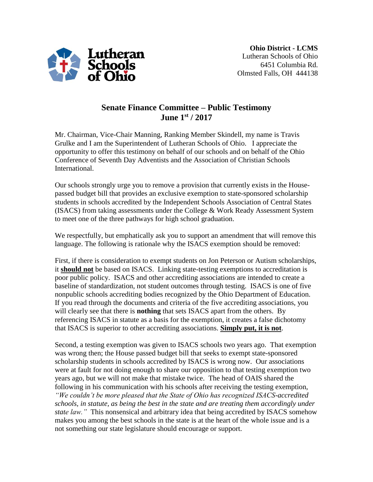

## **Senate Finance Committee – Public Testimony June 1st / 2017**

Mr. Chairman, Vice-Chair Manning, Ranking Member Skindell, my name is Travis Grulke and I am the Superintendent of Lutheran Schools of Ohio. I appreciate the opportunity to offer this testimony on behalf of our schools and on behalf of the Ohio Conference of Seventh Day Adventists and the Association of Christian Schools International.

Our schools strongly urge you to remove a provision that currently exists in the Housepassed budget bill that provides an exclusive exemption to state-sponsored scholarship students in schools accredited by the Independent Schools Association of Central States (ISACS) from taking assessments under the College & Work Ready Assessment System to meet one of the three pathways for high school graduation.

We respectfully, but emphatically ask you to support an amendment that will remove this language. The following is rationale why the ISACS exemption should be removed:

First, if there is consideration to exempt students on Jon Peterson or Autism scholarships, it **should not** be based on ISACS. Linking state-testing exemptions to accreditation is poor public policy. ISACS and other accrediting associations are intended to create a baseline of standardization, not student outcomes through testing. ISACS is one of five nonpublic schools accrediting bodies recognized by the Ohio Department of Education. If you read through the documents and criteria of the five accrediting associations, you will clearly see that there is **nothing** that sets ISACS apart from the others. By referencing ISACS in statute as a basis for the exemption, it creates a false dichotomy that ISACS is superior to other accrediting associations. **Simply put, it is not**.

Second, a testing exemption was given to ISACS schools two years ago. That exemption was wrong then; the House passed budget bill that seeks to exempt state-sponsored scholarship students in schools accredited by ISACS is wrong now. Our associations were at fault for not doing enough to share our opposition to that testing exemption two years ago, but we will not make that mistake twice. The head of OAIS shared the following in his communication with his schools after receiving the testing exemption, *"We couldn't be more pleased that the State of Ohio has recognized ISACS-accredited schools, in statute, as being the best in the state and are treating them accordingly under state law.*" This nonsensical and arbitrary idea that being accredited by ISACS somehow makes you among the best schools in the state is at the heart of the whole issue and is a not something our state legislature should encourage or support.